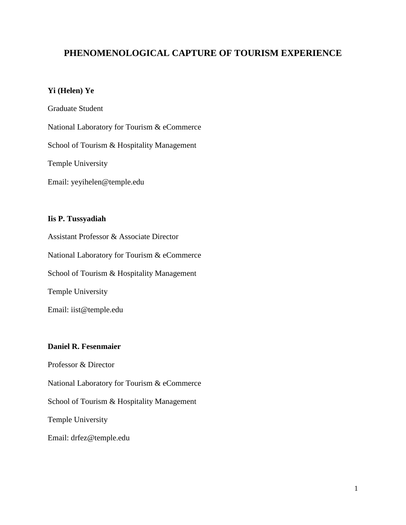# **PHENOMENOLOGICAL CAPTURE OF TOURISM EXPERIENCE**

## **Yi (Helen) Ye**

Graduate Student National Laboratory for Tourism & eCommerce School of Tourism & Hospitality Management Temple University Email: yeyihelen@temple.edu

## **Iis P. Tussyadiah**

Assistant Professor & Associate Director National Laboratory for Tourism & eCommerce School of Tourism & Hospitality Management Temple University Email: iist@temple.edu

## **Daniel R. Fesenmaier**

Professor & Director National Laboratory for Tourism & eCommerce School of Tourism & Hospitality Management Temple University Email: drfez@temple.edu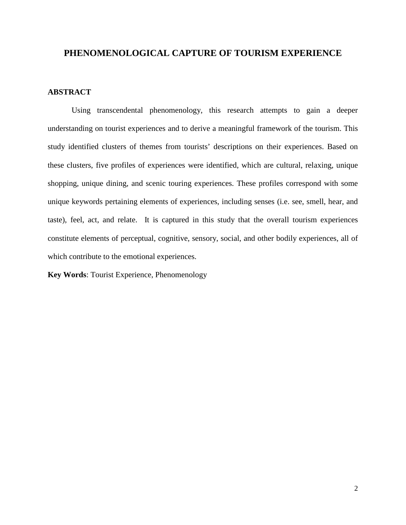## **PHENOMENOLOGICAL CAPTURE OF TOURISM EXPERIENCE**

## **ABSTRACT**

Using transcendental phenomenology, this research attempts to gain a deeper understanding on tourist experiences and to derive a meaningful framework of the tourism. This study identified clusters of themes from tourists' descriptions on their experiences. Based on these clusters, five profiles of experiences were identified, which are cultural, relaxing, unique shopping, unique dining, and scenic touring experiences. These profiles correspond with some unique keywords pertaining elements of experiences, including senses (i.e. see, smell, hear, and taste), feel, act, and relate. It is captured in this study that the overall tourism experiences constitute elements of perceptual, cognitive, sensory, social, and other bodily experiences, all of which contribute to the emotional experiences.

**Key Words**: Tourist Experience, Phenomenology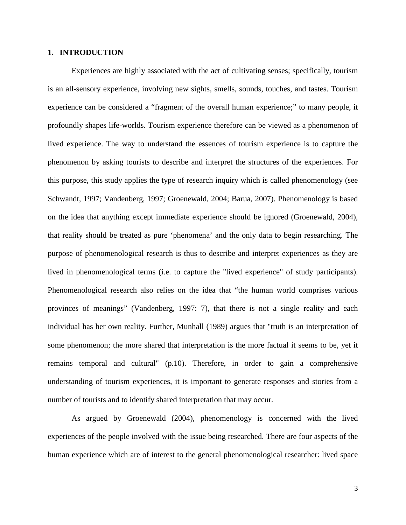#### **1. INTRODUCTION**

Experiences are highly associated with the act of cultivating senses; specifically, tourism is an all-sensory experience, involving new sights, smells, sounds, touches, and tastes. Tourism experience can be considered a "fragment of the overall human experience;" to many people, it profoundly shapes life-worlds. Tourism experience therefore can be viewed as a phenomenon of lived experience. The way to understand the essences of tourism experience is to capture the phenomenon by asking tourists to describe and interpret the structures of the experiences. For this purpose, this study applies the type of research inquiry which is called phenomenology (see Schwandt, 1997; Vandenberg, 1997; Groenewald, 2004; Barua, 2007). Phenomenology is based on the idea that anything except immediate experience should be ignored (Groenewald, 2004), that reality should be treated as pure 'phenomena' and the only data to begin researching. The purpose of phenomenological research is thus to describe and interpret experiences as they are lived in phenomenological terms (i.e. to capture the "lived experience" of study participants). Phenomenological research also relies on the idea that "the human world comprises various provinces of meanings" (Vandenberg, 1997: 7), that there is not a single reality and each individual has her own reality. Further, Munhall (1989) argues that "truth is an interpretation of some phenomenon; the more shared that interpretation is the more factual it seems to be, yet it remains temporal and cultural" (p.10). Therefore, in order to gain a comprehensive understanding of tourism experiences, it is important to generate responses and stories from a number of tourists and to identify shared interpretation that may occur.

As argued by Groenewald (2004), phenomenology is concerned with the lived experiences of the people involved with the issue being researched. There are four aspects of the human experience which are of interest to the general phenomenological researcher: lived space

3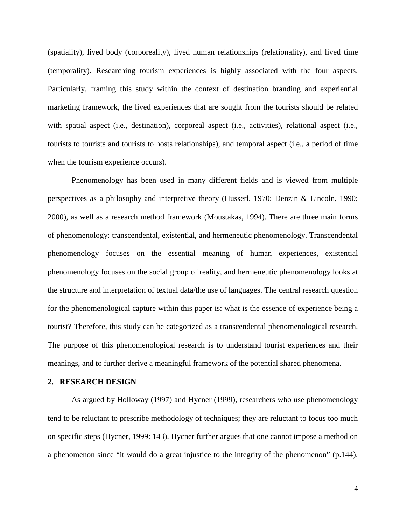(spatiality), lived body (corporeality), lived human relationships (relationality), and lived time (temporality). Researching tourism experiences is highly associated with the four aspects. Particularly, framing this study within the context of destination branding and experiential marketing framework, the lived experiences that are sought from the tourists should be related with spatial aspect (i.e., destination), corporeal aspect (i.e., activities), relational aspect (i.e., tourists to tourists and tourists to hosts relationships), and temporal aspect (i.e., a period of time when the tourism experience occurs).

Phenomenology has been used in many different fields and is viewed from multiple perspectives as a philosophy and interpretive theory (Husserl, 1970; Denzin & Lincoln, 1990; 2000), as well as a research method framework (Moustakas, 1994). There are three main forms of phenomenology: transcendental, existential, and hermeneutic phenomenology. Transcendental phenomenology focuses on the essential meaning of human experiences, existential phenomenology focuses on the social group of reality, and hermeneutic phenomenology looks at the structure and interpretation of textual data/the use of languages. The central research question for the phenomenological capture within this paper is: what is the essence of experience being a tourist? Therefore, this study can be categorized as a transcendental phenomenological research. The purpose of this phenomenological research is to understand tourist experiences and their meanings, and to further derive a meaningful framework of the potential shared phenomena.

#### **2. RESEARCH DESIGN**

As argued by Holloway (1997) and Hycner (1999), researchers who use phenomenology tend to be reluctant to prescribe methodology of techniques; they are reluctant to focus too much on specific steps (Hycner, 1999: 143). Hycner further argues that one cannot impose a method on a phenomenon since "it would do a great injustice to the integrity of the phenomenon" (p.144).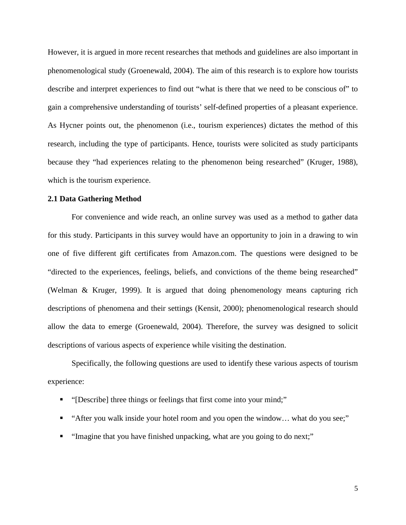However, it is argued in more recent researches that methods and guidelines are also important in phenomenological study (Groenewald, 2004). The aim of this research is to explore how tourists describe and interpret experiences to find out "what is there that we need to be conscious of" to gain a comprehensive understanding of tourists' self-defined properties of a pleasant experience. As Hycner points out, the phenomenon (i.e., tourism experiences) dictates the method of this research, including the type of participants. Hence, tourists were solicited as study participants because they "had experiences relating to the phenomenon being researched" (Kruger, 1988), which is the tourism experience.

#### **2.1 Data Gathering Method**

For convenience and wide reach, an online survey was used as a method to gather data for this study. Participants in this survey would have an opportunity to join in a drawing to win one of five different gift certificates from Amazon.com. The questions were designed to be "directed to the experiences, feelings, beliefs, and convictions of the theme being researched" (Welman & Kruger, 1999). It is argued that doing phenomenology means capturing rich descriptions of phenomena and their settings (Kensit, 2000); phenomenological research should allow the data to emerge (Groenewald, 2004). Therefore, the survey was designed to solicit descriptions of various aspects of experience while visiting the destination.

Specifically, the following questions are used to identify these various aspects of tourism experience:

- "[Describe] three things or feelings that first come into your mind;"
- "After you walk inside your hotel room and you open the window… what do you see;"
- **"** "Imagine that you have finished unpacking, what are you going to do next;"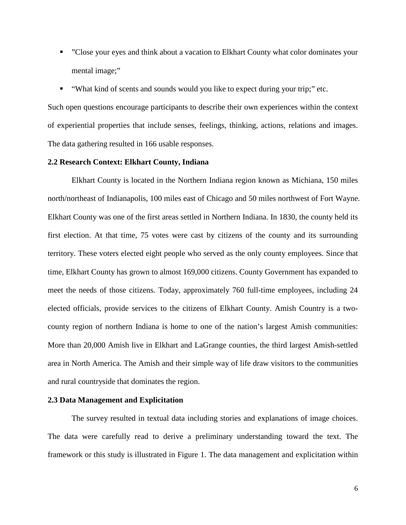- "Close your eyes and think about a vacation to Elkhart County what color dominates your mental image;"
- "What kind of scents and sounds would you like to expect during your trip;" etc.

Such open questions encourage participants to describe their own experiences within the context of experiential properties that include senses, feelings, thinking, actions, relations and images. The data gathering resulted in 166 usable responses.

#### **2.2 Research Context: Elkhart County, Indiana**

Elkhart County is located in the Northern Indiana region known as [Michiana,](http://en.wikipedia.org/wiki/Michiana) 150 miles north/northeast of Indianapolis, 100 miles east of Chicago and 50 miles northwest of Fort Wayne. Elkhart County was one of the first areas settled in Northern Indiana. In 1830, the county held its first election. At that time, 75 votes were cast by citizens of the county and its surrounding territory. These voters elected eight people who served as the only county employees. Since that time, Elkhart County has grown to almost 169,000 citizens. County Government has expanded to meet the needs of those citizens. Today, approximately 760 full-time employees, including 24 elected officials, provide services to the citizens of Elkhart County. Amish Country is a twocounty region of northern Indiana is home to one of the nation's largest Amish communities: More than 20,000 Amish live in Elkhart and LaGrange counties, the third largest Amish-settled area in North America. The Amish and their simple way of life draw visitors to the communities and rural countryside that dominates the region.

#### **2.3 Data Management and Explicitation**

The survey resulted in textual data including stories and explanations of image choices. The data were carefully read to derive a preliminary understanding toward the text. The framework or this study is illustrated in Figure 1. The data management and explicitation within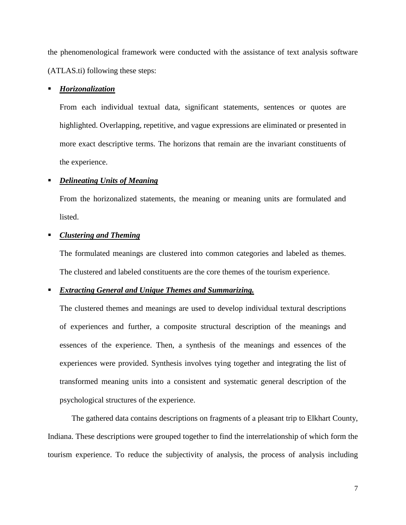the phenomenological framework were conducted with the assistance of text analysis software (ATLAS.ti) following these steps:

#### *Horizonalization*

From each individual textual data, significant statements, sentences or quotes are highlighted. Overlapping, repetitive, and vague expressions are eliminated or presented in more exact descriptive terms. The horizons that remain are the invariant constituents of the experience.

### *Delineating Units of Meaning*

From the horizonalized statements, the meaning or meaning units are formulated and listed.

### *Clustering and Theming*

The formulated meanings are clustered into common categories and labeled as themes. The clustered and labeled constituents are the core themes of the tourism experience.

## *Extracting General and Unique Themes and Summarizing.*

The clustered themes and meanings are used to develop individual textural descriptions of experiences and further, a composite structural description of the meanings and essences of the experience. Then, a synthesis of the meanings and essences of the experiences were provided. Synthesis involves tying together and integrating the list of transformed meaning units into a consistent and systematic general description of the psychological structures of the experience.

The gathered data contains descriptions on fragments of a pleasant trip to Elkhart County, Indiana. These descriptions were grouped together to find the interrelationship of which form the tourism experience. To reduce the subjectivity of analysis, the process of analysis including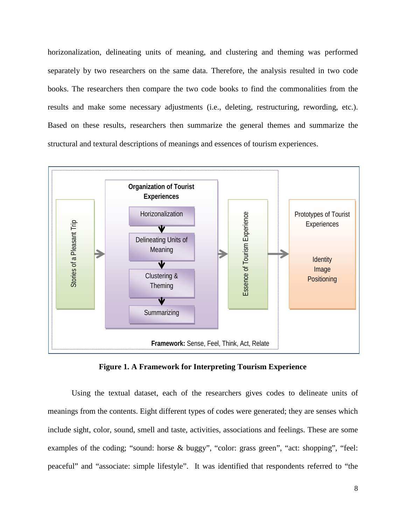horizonalization, delineating units of meaning, and clustering and theming was performed separately by two researchers on the same data. Therefore, the analysis resulted in two code books. The researchers then compare the two code books to find the commonalities from the results and make some necessary adjustments (i.e., deleting, restructuring, rewording, etc.). Based on these results, researchers then summarize the general themes and summarize the structural and textural descriptions of meanings and essences of tourism experiences.



**Figure 1. A Framework for Interpreting Tourism Experience**

Using the textual dataset, each of the researchers gives codes to delineate units of meanings from the contents. Eight different types of codes were generated; they are senses which include sight, color, sound, smell and taste, activities, associations and feelings. These are some examples of the coding; "sound: horse & buggy", "color: grass green", "act: shopping", "feel: peaceful" and "associate: simple lifestyle". It was identified that respondents referred to "the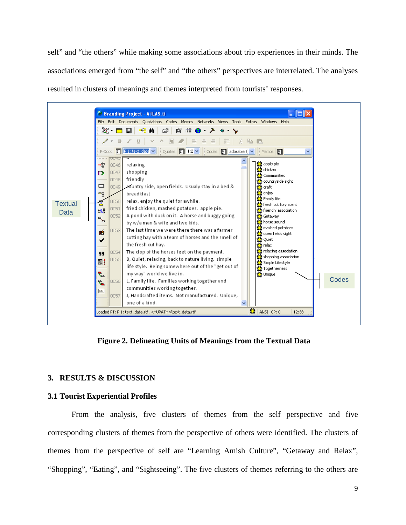self" and "the others" while making some associations about trip experiences in their minds. The associations emerged from "the self" and "the others" perspectives are interrelated. The analyses resulted in clusters of meanings and themes interpreted from tourists' responses.



**Figure 2. Delineating Units of Meanings from the Textual Data**

## **3. RESULTS & DISCUSSION**

## **3.1 Tourist Experiential Profiles**

From the analysis, five clusters of themes from the self perspective and five corresponding clusters of themes from the perspective of others were identified. The clusters of themes from the perspective of self are "Learning Amish Culture", "Getaway and Relax", "Shopping", "Eating", and "Sightseeing". The five clusters of themes referring to the others are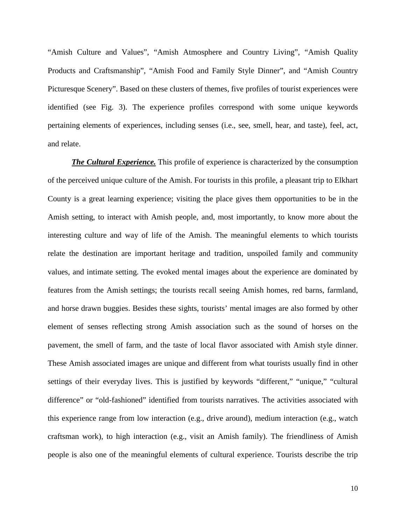"Amish Culture and Values", "Amish Atmosphere and Country Living", "Amish Quality Products and Craftsmanship", "Amish Food and Family Style Dinner", and "Amish Country Picturesque Scenery". Based on these clusters of themes, five profiles of tourist experiences were identified (see Fig. 3). The experience profiles correspond with some unique keywords pertaining elements of experiences, including senses (i.e., see, smell, hear, and taste), feel, act, and relate.

*The Cultural Experience.* This profile of experience is characterized by the consumption of the perceived unique culture of the Amish. For tourists in this profile, a pleasant trip to Elkhart County is a great learning experience; visiting the place gives them opportunities to be in the Amish setting, to interact with Amish people, and, most importantly, to know more about the interesting culture and way of life of the Amish. The meaningful elements to which tourists relate the destination are important heritage and tradition, unspoiled family and community values, and intimate setting. The evoked mental images about the experience are dominated by features from the Amish settings; the tourists recall seeing Amish homes, red barns, farmland, and horse drawn buggies. Besides these sights, tourists' mental images are also formed by other element of senses reflecting strong Amish association such as the sound of horses on the pavement, the smell of farm, and the taste of local flavor associated with Amish style dinner. These Amish associated images are unique and different from what tourists usually find in other settings of their everyday lives. This is justified by keywords "different," "unique," "cultural difference" or "old-fashioned" identified from tourists narratives. The activities associated with this experience range from low interaction (e.g., drive around), medium interaction (e.g., watch craftsman work), to high interaction (e.g., visit an Amish family). The friendliness of Amish people is also one of the meaningful elements of cultural experience. Tourists describe the trip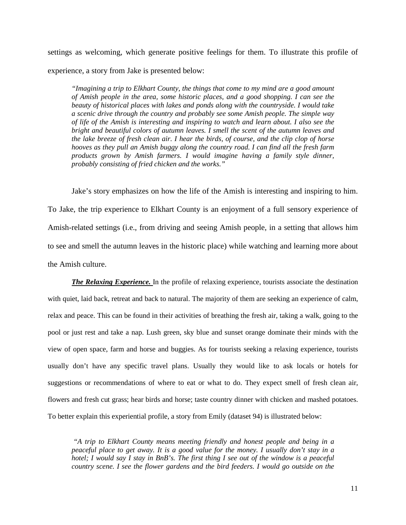settings as welcoming, which generate positive feelings for them. To illustrate this profile of experience, a story from Jake is presented below:

*"Imagining a trip to Elkhart County, the things that come to my mind are a good amount of Amish people in the area, some historic places, and a good shopping. I can see the beauty of historical places with lakes and ponds along with the countryside. I would take a scenic drive through the country and probably see some Amish people. The simple way of life of the Amish is interesting and inspiring to watch and learn about. I also see the bright and beautiful colors of autumn leaves. I smell the scent of the autumn leaves and the lake breeze of fresh clean air. I hear the birds, of course, and the clip clop of horse hooves as they pull an Amish buggy along the country road. I can find all the fresh farm products grown by Amish farmers. I would imagine having a family style dinner, probably consisting of fried chicken and the works."*

Jake's story emphasizes on how the life of the Amish is interesting and inspiring to him. To Jake, the trip experience to Elkhart County is an enjoyment of a full sensory experience of Amish-related settings (i.e., from driving and seeing Amish people, in a setting that allows him to see and smell the autumn leaves in the historic place) while watching and learning more about the Amish culture.

*The Relaxing Experience.* In the profile of relaxing experience, tourists associate the destination with quiet, laid back, retreat and back to natural. The majority of them are seeking an experience of calm, relax and peace. This can be found in their activities of breathing the fresh air, taking a walk, going to the pool or just rest and take a nap. Lush green, sky blue and sunset orange dominate their minds with the view of open space, farm and horse and buggies. As for tourists seeking a relaxing experience, tourists usually don't have any specific travel plans. Usually they would like to ask locals or hotels for suggestions or recommendations of where to eat or what to do. They expect smell of fresh clean air, flowers and fresh cut grass; hear birds and horse; taste country dinner with chicken and mashed potatoes. To better explain this experiential profile, a story from Emily (dataset 94) is illustrated below:

*"A trip to Elkhart County means meeting friendly and honest people and being in a peaceful place to get away. It is a good value for the money. I usually don't stay in a hotel; I would say I stay in BnB's. The first thing I see out of the window is a peaceful country scene. I see the flower gardens and the bird feeders. I would go outside on the*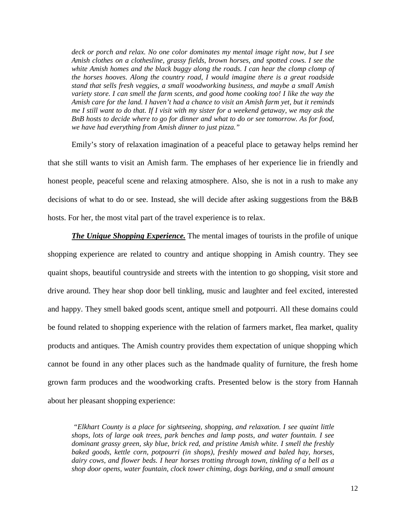*deck or porch and relax. No one color dominates my mental image right now, but I see Amish clothes on a clothesline, grassy fields, brown horses, and spotted cows. I see the white Amish homes and the black buggy along the roads. I can hear the clomp clomp of the horses hooves. Along the country road, I would imagine there is a great roadside stand that sells fresh veggies, a small woodworking business, and maybe a small Amish variety store. I can smell the farm scents, and good home cooking too! I like the way the Amish care for the land. I haven't had a chance to visit an Amish farm yet, but it reminds me I still want to do that. If I visit with my sister for a weekend getaway, we may ask the BnB hosts to decide where to go for dinner and what to do or see tomorrow. As for food, we have had everything from Amish dinner to just pizza."*

Emily's story of relaxation imagination of a peaceful place to getaway helps remind her that she still wants to visit an Amish farm. The emphases of her experience lie in friendly and honest people, peaceful scene and relaxing atmosphere. Also, she is not in a rush to make any decisions of what to do or see. Instead, she will decide after asking suggestions from the B&B hosts. For her, the most vital part of the travel experience is to relax.

*The Unique Shopping Experience.* The mental images of tourists in the profile of unique shopping experience are related to country and antique shopping in Amish country. They see quaint shops, beautiful countryside and streets with the intention to go shopping, visit store and drive around. They hear shop door bell tinkling, music and laughter and feel excited, interested and happy. They smell baked goods scent, antique smell and potpourri. All these domains could be found related to shopping experience with the relation of farmers market, flea market, quality products and antiques. The Amish country provides them expectation of unique shopping which cannot be found in any other places such as the handmade quality of furniture, the fresh home grown farm produces and the woodworking crafts. Presented below is the story from Hannah about her pleasant shopping experience:

*"Elkhart County is a place for sightseeing, shopping, and relaxation. I see quaint little shops, lots of large oak trees, park benches and lamp posts, and water fountain. I see dominant grassy green, sky blue, brick red, and pristine Amish white. I smell the freshly baked goods, kettle corn, potpourri (in shops), freshly mowed and baled hay, horses, dairy cows, and flower beds. I hear horses trotting through town, tinkling of a bell as a shop door opens, water fountain, clock tower chiming, dogs barking, and a small amount*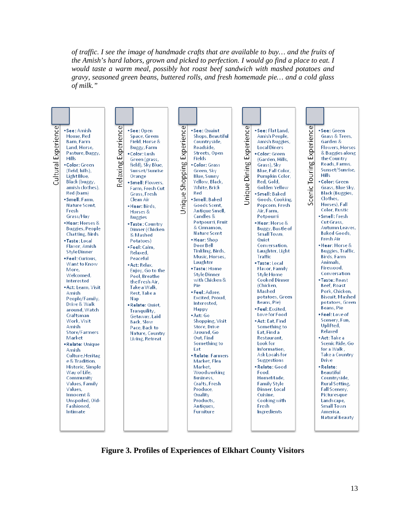*of traffic. I see the image of handmade crafts that are available to buy… and the fruits of the Amish's hard labors, grown and picked to perfection. I would go find a place to eat. I would taste a warm meal, possibly hot roast beef sandwich with mashed potatoes and gravy, seasoned green beans, buttered rolls, and fresh homemade pie… and a cold glass of milk."*



**Figure 3. Profiles of Experiences of Elkhart County Visitors**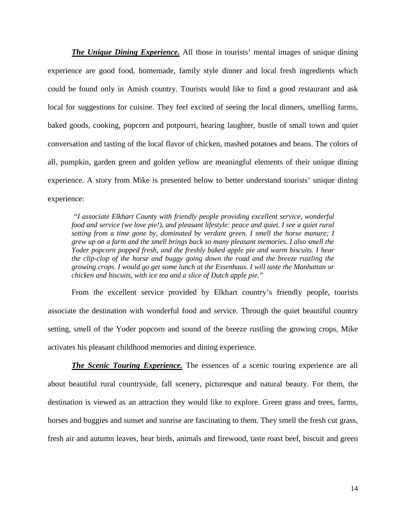*The Unique Dining Experience.* All those in tourists' mental images of unique dining experience are good food, homemade, family style dinner and local fresh ingredients which could be found only in Amish country. Tourists would like to find a good restaurant and ask local for suggestions for cuisine. They feel excited of seeing the local dinners, smelling farms, baked goods, cooking, popcorn and potpourri, hearing laughter, bustle of small town and quiet conversation and tasting of the local flavor of chicken, mashed potatoes and beans. The colors of all, pumpkin, garden green and golden yellow are meaningful elements of their unique dining experience. A story from Mike is presented below to better understand tourists' unique dining experience:

*"I associate Elkhart County with friendly people providing excellent service, wonderful food and service (we love pie!), and pleasant lifestyle: peace and quiet. I see a quiet rural setting from a time gone by, dominated by verdant green. I smell the horse manure; I grew up on a farm and the smell brings back so many pleasant memories. I also smell the Yoder popcorn popped fresh, and the freshly baked apple pie and warm biscuits. I hear the clip-clop of the horse and buggy going down the road and the breeze rustling the growing crops. I would go get some lunch at the Essenhaus. I will taste the Manhattan or chicken and biscuits, with ice tea and a slice of Dutch apple pie."*

From the excellent service provided by Elkhart country's friendly people, tourists associate the destination with wonderful food and service. Through the quiet beautiful country setting, smell of the Yoder popcorn and sound of the breeze rustling the growing crops, Mike activates his pleasant childhood memories and dining experience.

*The Scenic Touring Experience.* The essences of a scenic touring experience are all about beautiful rural countryside, fall scenery, picturesque and natural beauty. For them, the destination is viewed as an attraction they would like to explore. Green grass and trees, farms, horses and buggies and sunset and sunrise are fascinating to them. They smell the fresh cut grass, fresh air and autumn leaves, hear birds, animals and firewood, taste roast beef, biscuit and green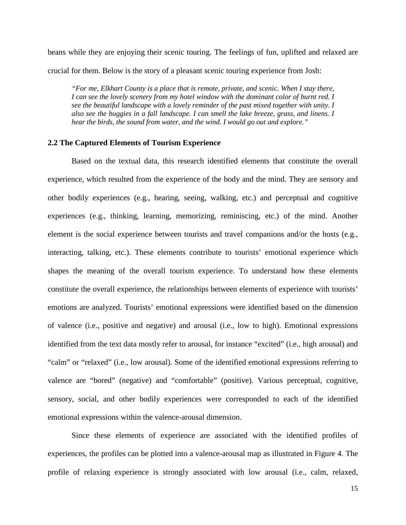beans while they are enjoying their scenic touring. The feelings of fun, uplifted and relaxed are crucial for them. Below is the story of a pleasant scenic touring experience from Josh:

*"For me, Elkhart County is a place that is remote, private, and scenic. When I stay there, I can see the lovely scenery from my hotel window with the dominant color of burnt red. I see the beautiful landscape with a lovely reminder of the past mixed together with unity. I also see the buggies in a fall landscape. I can smell the lake breeze, grass, and linens. I hear the birds, the sound from water, and the wind. I would go out and explore."*

#### **2.2 The Captured Elements of Tourism Experience**

Based on the textual data, this research identified elements that constitute the overall experience, which resulted from the experience of the body and the mind. They are sensory and other bodily experiences (e.g., hearing, seeing, walking, etc.) and perceptual and cognitive experiences (e.g., thinking, learning, memorizing, reminiscing, etc.) of the mind. Another element is the social experience between tourists and travel companions and/or the hosts (e.g., interacting, talking, etc.). These elements contribute to tourists' emotional experience which shapes the meaning of the overall tourism experience. To understand how these elements constitute the overall experience, the relationships between elements of experience with tourists' emotions are analyzed. Tourists' emotional expressions were identified based on the dimension of valence (i.e., positive and negative) and arousal (i.e., low to high). Emotional expressions identified from the text data mostly refer to arousal, for instance "excited" (i.e., high arousal) and "calm" or "relaxed" (i.e., low arousal). Some of the identified emotional expressions referring to valence are "bored" (negative) and "comfortable" (positive). Various perceptual, cognitive, sensory, social, and other bodily experiences were corresponded to each of the identified emotional expressions within the valence-arousal dimension.

Since these elements of experience are associated with the identified profiles of experiences, the profiles can be plotted into a valence-arousal map as illustrated in Figure 4. The profile of relaxing experience is strongly associated with low arousal (i.e., calm, relaxed,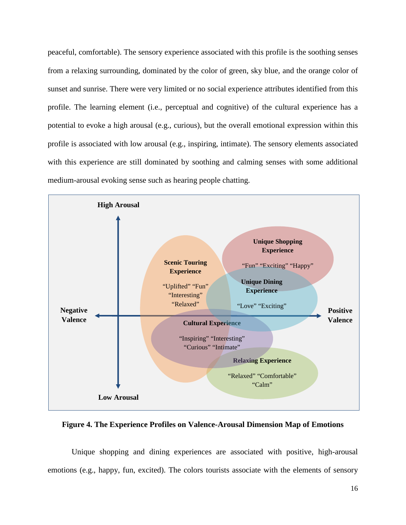peaceful, comfortable). The sensory experience associated with this profile is the soothing senses from a relaxing surrounding, dominated by the color of green, sky blue, and the orange color of sunset and sunrise. There were very limited or no social experience attributes identified from this profile. The learning element (i.e., perceptual and cognitive) of the cultural experience has a potential to evoke a high arousal (e.g., curious), but the overall emotional expression within this profile is associated with low arousal (e.g., inspiring, intimate). The sensory elements associated with this experience are still dominated by soothing and calming senses with some additional medium-arousal evoking sense such as hearing people chatting.



**Figure 4. The Experience Profiles on Valence-Arousal Dimension Map of Emotions**

Unique shopping and dining experiences are associated with positive, high-arousal emotions (e.g., happy, fun, excited). The colors tourists associate with the elements of sensory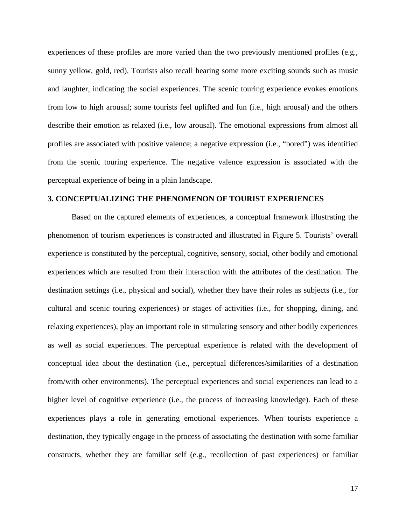experiences of these profiles are more varied than the two previously mentioned profiles (e.g., sunny yellow, gold, red). Tourists also recall hearing some more exciting sounds such as music and laughter, indicating the social experiences. The scenic touring experience evokes emotions from low to high arousal; some tourists feel uplifted and fun (i.e., high arousal) and the others describe their emotion as relaxed (i.e., low arousal). The emotional expressions from almost all profiles are associated with positive valence; a negative expression (i.e., "bored") was identified from the scenic touring experience. The negative valence expression is associated with the perceptual experience of being in a plain landscape.

### **3. CONCEPTUALIZING THE PHENOMENON OF TOURIST EXPERIENCES**

Based on the captured elements of experiences, a conceptual framework illustrating the phenomenon of tourism experiences is constructed and illustrated in Figure 5. Tourists' overall experience is constituted by the perceptual, cognitive, sensory, social, other bodily and emotional experiences which are resulted from their interaction with the attributes of the destination. The destination settings (i.e., physical and social), whether they have their roles as subjects (i.e., for cultural and scenic touring experiences) or stages of activities (i.e., for shopping, dining, and relaxing experiences), play an important role in stimulating sensory and other bodily experiences as well as social experiences. The perceptual experience is related with the development of conceptual idea about the destination (i.e., perceptual differences/similarities of a destination from/with other environments). The perceptual experiences and social experiences can lead to a higher level of cognitive experience (i.e., the process of increasing knowledge). Each of these experiences plays a role in generating emotional experiences. When tourists experience a destination, they typically engage in the process of associating the destination with some familiar constructs, whether they are familiar self (e.g., recollection of past experiences) or familiar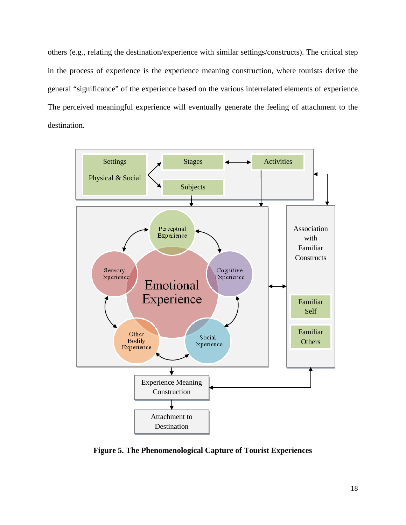others (e.g., relating the destination/experience with similar settings/constructs). The critical step in the process of experience is the experience meaning construction, where tourists derive the general "significance" of the experience based on the various interrelated elements of experience. The perceived meaningful experience will eventually generate the feeling of attachment to the destination.



**Figure 5. The Phenomenological Capture of Tourist Experiences**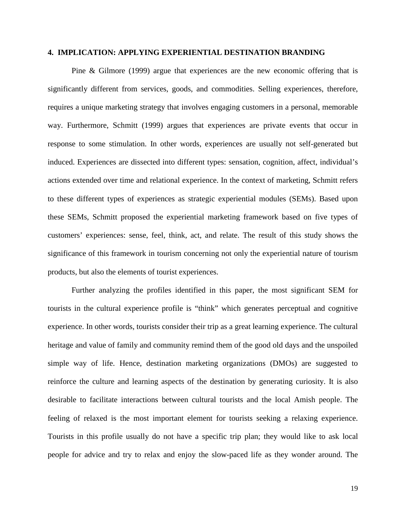#### **4. IMPLICATION: APPLYING EXPERIENTIAL DESTINATION BRANDING**

Pine & Gilmore (1999) argue that experiences are the new economic offering that is significantly different from services, goods, and commodities. Selling experiences, therefore, requires a unique marketing strategy that involves engaging customers in a personal, memorable way. Furthermore, Schmitt (1999) argues that experiences are private events that occur in response to some stimulation. In other words, experiences are usually not self-generated but induced. Experiences are dissected into different types: sensation, cognition, affect, individual's actions extended over time and relational experience. In the context of marketing, Schmitt refers to these different types of experiences as strategic experiential modules (SEMs). Based upon these SEMs, Schmitt proposed the experiential marketing framework based on five types of customers' experiences: sense, feel, think, act, and relate. The result of this study shows the significance of this framework in tourism concerning not only the experiential nature of tourism products, but also the elements of tourist experiences.

Further analyzing the profiles identified in this paper, the most significant SEM for tourists in the cultural experience profile is "think" which generates perceptual and cognitive experience. In other words, tourists consider their trip as a great learning experience. The cultural heritage and value of family and community remind them of the good old days and the unspoiled simple way of life. Hence, destination marketing organizations (DMOs) are suggested to reinforce the culture and learning aspects of the destination by generating curiosity. It is also desirable to facilitate interactions between cultural tourists and the local Amish people. The feeling of relaxed is the most important element for tourists seeking a relaxing experience. Tourists in this profile usually do not have a specific trip plan; they would like to ask local people for advice and try to relax and enjoy the slow-paced life as they wonder around. The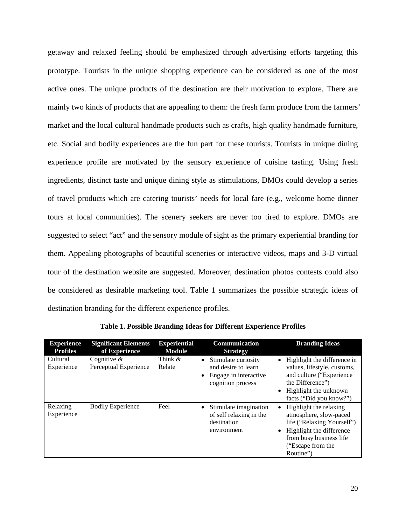getaway and relaxed feeling should be emphasized through advertising efforts targeting this prototype. Tourists in the unique shopping experience can be considered as one of the most active ones. The unique products of the destination are their motivation to explore. There are mainly two kinds of products that are appealing to them: the fresh farm produce from the farmers' market and the local cultural handmade products such as crafts, high quality handmade furniture, etc. Social and bodily experiences are the fun part for these tourists. Tourists in unique dining experience profile are motivated by the sensory experience of cuisine tasting. Using fresh ingredients, distinct taste and unique dining style as stimulations, DMOs could develop a series of travel products which are catering tourists' needs for local fare (e.g., welcome home dinner tours at local communities). The scenery seekers are never too tired to explore. DMOs are suggested to select "act" and the sensory module of sight as the primary experiential branding for them. Appealing photographs of beautiful sceneries or interactive videos, maps and 3-D virtual tour of the destination website are suggested. Moreover, destination photos contests could also be considered as desirable marketing tool. Table 1 summarizes the possible strategic ideas of destination branding for the different experience profiles.

| <b>Experience</b><br><b>Profiles</b> | <b>Significant Elements</b><br>of Experience | <b>Experiential</b><br><b>Module</b> | Communication<br><b>Strategy</b>                                                                        | <b>Branding Ideas</b>                                                                                                                                                                  |
|--------------------------------------|----------------------------------------------|--------------------------------------|---------------------------------------------------------------------------------------------------------|----------------------------------------------------------------------------------------------------------------------------------------------------------------------------------------|
| Cultural<br>Experience               | Cognitive $\&$<br>Perceptual Experience      | Think $\&$<br>Relate                 | Stimulate curiosity<br>$\bullet$<br>and desire to learn<br>• Engage in interactive<br>cognition process | Highlight the difference in<br>values, lifestyle, customs,<br>and culture ("Experience<br>the Difference")<br>Highlight the unknown<br>$\bullet$<br>facts ("Did you know?")            |
| Relaxing<br>Experience               | <b>Bodily Experience</b>                     | Feel                                 | Stimulate imagination<br>$\bullet$<br>of self relaxing in the<br>destination<br>environment             | Highlight the relaxing<br>$\bullet$<br>atmosphere, slow-paced<br>life ("Relaxing Yourself")<br>• Highlight the difference<br>from busy business life<br>("Escape from the<br>Routine") |

**Table 1. Possible Branding Ideas for Different Experience Profiles**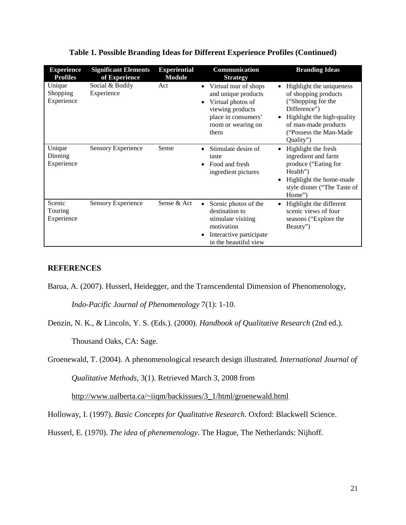| <b>Experience</b><br><b>Profiles</b> | <b>Significant Elements</b><br>of Experience | <b>Experiential</b><br><b>Module</b> | Communication<br><b>Strategy</b>                                                                                                                        | <b>Branding Ideas</b>                                                                                                                                                                                          |
|--------------------------------------|----------------------------------------------|--------------------------------------|---------------------------------------------------------------------------------------------------------------------------------------------------------|----------------------------------------------------------------------------------------------------------------------------------------------------------------------------------------------------------------|
| Unique<br>Shopping<br>Experience     | Social & Bodily<br>Experience                | Act                                  | Virtual tour of shops<br>$\bullet$<br>and unique products<br>Virtual photos of<br>viewing products<br>place in consumers'<br>room or wearing on<br>them | Highlight the uniqueness<br>$\bullet$<br>of shopping products<br>("Shopping for the<br>Difference")<br>Highlight the high-quality<br>$\bullet$<br>of man-made products<br>("Possess the Man-Made"<br>Quality") |
| Unique<br>Dinning<br>Experience      | <b>Sensory Experience</b>                    | Sense                                | Stimulate desire of<br>taste<br>Food and fresh<br>$\bullet$<br>ingredient pictures                                                                      | Highlight the fresh<br>ingredient and farm<br>produce ("Eating for<br>Health")<br>Highlight the home-made<br>$\bullet$<br>style dinner ("The Taste of<br>Home")                                                |
| Scenic<br>Touring<br>Experience      | <b>Sensory Experience</b>                    | Sense & Act                          | Scenic photos of the<br>$\bullet$<br>destination to<br>stimulate visiting<br>motivation<br>Interactive participate<br>in the beautiful view             | Highlight the different<br>$\bullet$<br>scenic views of four<br>seasons ("Explore the<br>Beauty")                                                                                                              |

## **Table 1. Possible Branding Ideas for Different Experience Profiles (Continued)**

## **REFERENCES**

Barua, A. (2007). Husserl, Heidegger, and the Transcendental Dimension of Phenomenology, *Indo-Pacific Journal of Phenomenology* 7(1): 1-10.

Denzin, N. K., & Lincoln, Y. S. (Eds.). (2000). *Handbook of Qualitative Research* (2nd ed.).

Thousand Oaks, CA: Sage.

Groenewald, T. (2004). A phenomenological research design illustrated. *International Journal of* 

*Qualitative Methods,* 3(1). Retrieved March 3, 2008 from

[http://www.ualberta.ca/~iiqm/backissues/3\\_1/html/groenewald.html](http://www.ualberta.ca/~iiqm/backissues/3_1/html/groenewald.html)

Holloway, I. (1997). *Basic Concepts for Qualitative Research*. Oxford: Blackwell Science.

Husserl, E. (1970). *The idea of phenemenology*. The Hague, The Netherlands: Nijhoff.